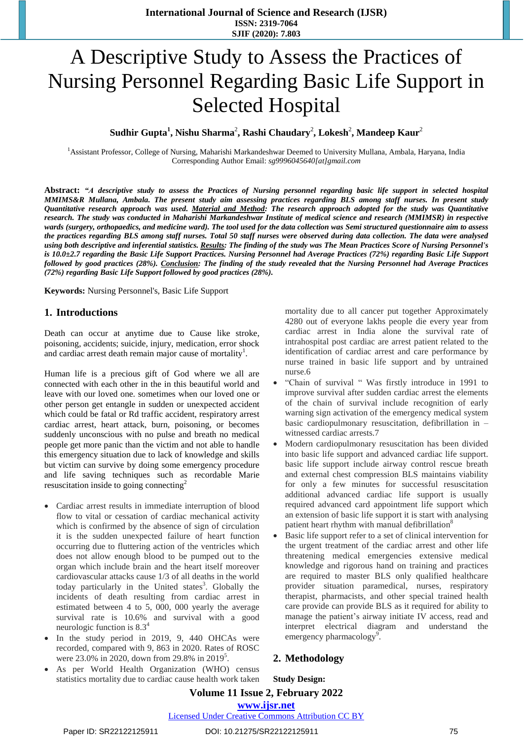# A Descriptive Study to Assess the Practices of Nursing Personnel Regarding Basic Life Support in Selected Hospital

## $\boldsymbol{\mathrm{Sudhir\; Gupta^{1}, Nishu\;Sharma^{2}, Rashi\; Chaudary^{2}, Lokesh^{2}, Mandeep\;Kaur^{2}}$

<sup>1</sup>Assistant Professor, College of Nursing, Maharishi Markandeshwar Deemed to University Mullana, Ambala, Haryana, India Corresponding Author Email: *[sg9996045640\[at\]gmail.com](mailto:sg9996045640@gmail.com)*

Abstract: "A descriptive study to assess the Practices of Nursing personnel regarding basic life support in selected hospital *MMIMS&R Mullana, Ambala. The present study aim assessing practices regarding BLS among staff nurses. In present study* Quantitative research approach was used. Material and Method: The research approach adopted for the study was Quantitative research. The study was conducted in Maharishi Markandeshwar Institute of medical science and research (MMIMSR) in respective *wards (surgery, orthopaedics, and medicine ward). The tool used for the data collection was Semi structured questionnaire aim to assess* the practices regarding BLS among staff nurses. Total 50 staff nurses were observed during data collection. The data were analysed using both descriptive and inferential statistics. Results: The finding of the study was The Mean Practices Score of Nursing Personnel's is 10.0±2.7 regarding the Basic Life Support Practices. Nursing Personnel had Average Practices (72%) regarding Basic Life Support followed by good practices (28%). Conclusion: The finding of the study revealed that the Nursing Personnel had Average Practices *(72%) regarding Basic Life Support followed by good practices (28%).*

**Keywords:** Nursing Personnel's, Basic Life Support

#### **1. Introductions**

Death can occur at anytime due to Cause like stroke, poisoning, accidents; suicide, injury, medication, error shock and cardiac arrest death remain major cause of mortality<sup>1</sup>.

Human life is a precious gift of God where we all are connected with each other in the in this beautiful world and leave with our loved one. sometimes when our loved one or other person get entangle in sudden or unexpected accident which could be fatal or Rd traffic accident, respiratory arrest cardiac arrest, heart attack, burn, poisoning, or becomes suddenly unconscious with no pulse and breath no medical people get more panic than the victim and not able to handle this emergency situation due to lack of knowledge and skills but victim can survive by doing some emergency procedure and life saving techniques such as recordable Marie resuscitation inside to going connecting<sup>2</sup>

- Cardiac arrest results in immediate interruption of blood flow to vital or cessation of cardiac mechanical activity which is confirmed by the absence of sign of circulation it is the sudden unexpected failure of heart function occurring due to fluttering action of the ventricles which does not allow enough blood to be pumped out to the organ which include brain and the heart itself moreover cardiovascular attacks cause 1/3 of all deaths in the world today particularly in the United states<sup>3</sup>. Globally the incidents of death resulting from cardiac arrest in estimated between 4 to 5, 000, 000 yearly the average survival rate is 10.6% and survival with a good neurologic function is 8.3<sup>4</sup>
- In the study period in 2019, 9, 440 OHCAs were recorded, compared with 9, 863 in 2020. Rates of ROSC were 23.0% in 2020, down from 29.8% in 2019<sup>5</sup>.
- As per World Health Organization (WHO) census statistics mortality due to cardiac cause health work taken

mortality due to all cancer put together Approximately 4280 out of everyone lakhs people die every year from cardiac arrest in India alone the survival rate of intrahospital post cardiac are arrest patient related to the identification of cardiac arrest and care performance by nurse trained in basic life support and by untrained nurse.6

- "Chain of survival " Was firstly introduce in 1991 to improve survival after sudden cardiac arrest the elements of the chain of survival include recognition of early warning sign activation of the emergency medical system basic cardiopulmonary resuscitation, defibrillation in – witnessed cardiac arrests.7
- Modern cardiopulmonary resuscitation has been divided into basic life support and advanced cardiac life support. basic life support include airway control rescue breath and external chest compression BLS maintains viability for only a few minutes for successful resuscitation additional advanced cardiac life support is usually required advanced card appointment life support which an extension of basic life support it is start with analysing patient heart rhythm with manual defibrillation<sup>8</sup>
- Basic life support refer to a set of clinical intervention for the urgent treatment of the cardiac arrest and other life threatening medical emergencies extensive medical knowledge and rigorous hand on training and practices are required to master BLS only qualified healthcare provider situation paramedical, nurses, respiratory therapist, pharmacists, and other special trained health care provide can provide BLS as it required for ability to manage the patient's airway initiate IV access, read and interpret electrical diagram and understand the emergency pharmacology<sup>9</sup>.

#### **2. Methodology**

**Study Design:** 

## **Volume 11 Issue 2, February 2022 www.ijsr.net**

Licensed Under Creative Commons Attribution CC BY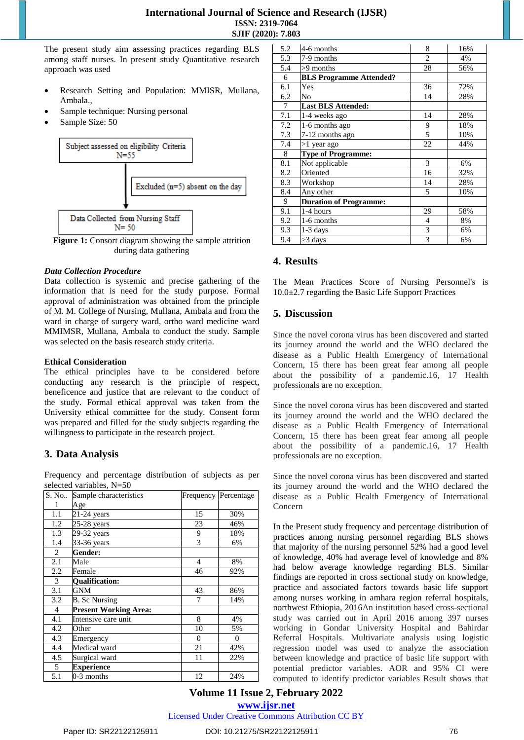The present study aim assessing practices regarding BLS among staff nurses. In present study Quantitative research approach was used

- Research Setting and Population: MMISR, Mullana, Ambala.,
- Sample technique: Nursing personal
- Sample Size: 50



**Figure 1:** Consort diagram showing the sample attrition during data gathering

#### *Data Collection Procedure*

Data collection is systemic and precise gathering of the information that is need for the study purpose. Formal approval of administration was obtained from the principle of M. M. College of Nursing, Mullana, Ambala and from the ward in charge of surgery ward, ortho ward medicine ward MMIMSR, Mullana, Ambala to conduct the study. Sample was selected on the basis research study criteria.

#### **Ethical Consideration**

The ethical principles have to be considered before conducting any research is the principle of respect, beneficence and justice that are relevant to the conduct of the study. Formal ethical approval was taken from the University ethical committee for the study. Consent form was prepared and filled for the study subjects regarding the willingness to participate in the research project.

# **3. Data Analysis**

Frequency and percentage distribution of subjects as per selected variables, N=50

| S. No          | Sample characteristics       | Frequency      | Percentage |
|----------------|------------------------------|----------------|------------|
| 1              | Age                          |                |            |
| 1.1            | $\overline{2}$ 1-24 years    | 15             | 30%        |
| 1.2            | $25-28$ years                | 23             | 46%        |
| 1.3            | 29-32 years                  | 9              | 18%        |
| 1.4            | 33-36 years                  | 3              | 6%         |
| 2              | Gender:                      |                |            |
| 2.1            | Male                         | 4              | 8%         |
| 2.2            | Female                       | 46             | 92%        |
| 3              | <b>Oualification:</b>        |                |            |
| 3.1            | <b>GNM</b>                   | 43             | 86%        |
| 3.2            | <b>B.</b> Sc Nursing         | 7              | 14%        |
| $\overline{4}$ | <b>Present Working Area:</b> |                |            |
| 4.1            | Intensive care unit          | 8              | 4%         |
| 4.2            | Other                        | 10             | 5%         |
| 4.3            | Emergency                    | $\overline{0}$ | 0          |
| 4.4            | Medical ward                 | 21             | 42%        |
| 4.5            | Surgical ward                | 11             | 22%        |
| 5              | <b>Experience</b>            |                |            |
| 5.1            | 0-3 months                   | 12             | 24%        |

| 5.2            | 4-6 months                     | 8              | 16% |
|----------------|--------------------------------|----------------|-----|
| 5.3            | 7-9 months                     | $\overline{2}$ | 4%  |
| 5.4            | >9 months                      | 28             | 56% |
| 6              | <b>BLS Programme Attended?</b> |                |     |
| 6.1            | Yes                            | 36             | 72% |
| 6.2            | No                             | 14             | 28% |
| $\overline{7}$ | <b>Last BLS Attended:</b>      |                |     |
| 7.1            | 1-4 weeks ago                  | 14             | 28% |
| 7.2            | 1-6 months ago                 | 9              | 18% |
| 7.3            | 7-12 months ago                | 5              | 10% |
| 7.4            | >1 year ago                    | 22             | 44% |
| 8              | <b>Type of Programme:</b>      |                |     |
| 8.1            | Not applicable                 | 3              | 6%  |
| 8.2            | Oriented                       | 16             | 32% |
| 8.3            | Workshop                       | 14             | 28% |
| 8.4            | Any other                      | 5              | 10% |
| 9              | <b>Duration of Programme:</b>  |                |     |
| 9.1            | 1-4 hours                      | 29             | 58% |
| 9.2            | 1-6 months                     | $\overline{4}$ | 8%  |
| 9.3            | 1-3 days                       | 3              | 6%  |
| 9.4            | >3 days                        | 3              | 6%  |

## **4. Results**

The Mean Practices Score of Nursing Personnel's is 10.0±2.7 regarding the Basic Life Support Practices

# **5. Discussion**

Since the novel corona virus has been discovered and started its journey around the world and the WHO declared the disease as a Public Health Emergency of International Concern, 15 there has been great fear among all people about the possibility of a pandemic.16, 17 Health professionals are no exception.

Since the novel corona virus has been discovered and started its journey around the world and the WHO declared the disease as a Public Health Emergency of International Concern, 15 there has been great fear among all people about the possibility of a pandemic.16, 17 Health professionals are no exception.

Since the novel corona virus has been discovered and started its journey around the world and the WHO declared the disease as a Public Health Emergency of International Concern

In the Present study frequency and percentage distribution of practices among nursing personnel regarding BLS shows that majority of the nursing personnel 52% had a good level of knowledge, 40% had average level of knowledge and 8% had below average knowledge regarding BLS. Similar findings are reported in cross sectional study on knowledge, practice and associated factors towards basic life support among nurses working in amhara region referral hospitals, northwest Ethiopia, 2016An institution based cross-sectional study was carried out in April 2016 among 397 nurses working in Gondar University Hospital and Bahirdar Referral Hospitals. Multivariate analysis using logistic regression model was used to analyze the association between knowledge and practice of basic life support with potential predictor variables. AOR and 95% CI were computed to identify predictor variables Result shows that

## **Volume 11 Issue 2, February 2022 www.ijsr.net**

Licensed Under Creative Commons Attribution CC BY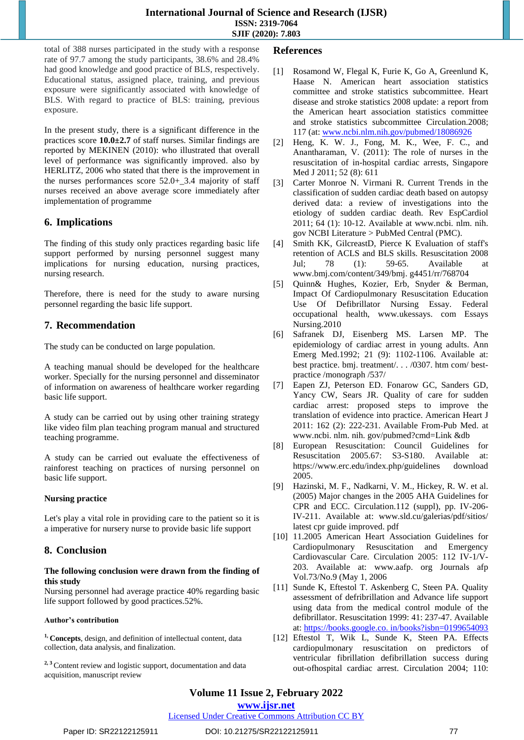total of 388 nurses participated in the study with a response rate of 97.7 among the study participants, 38.6% and 28.4% had good knowledge and good practice of BLS, respectively. Educational status, assigned place, training, and previous exposure were significantly associated with knowledge of BLS. With regard to practice of BLS: training, previous exposure.

In the present study, there is a significant difference in the practices score **10.0±2.7** of staff nurses. Similar findings are reported by MEKINEN (2010): who illustrated that overall level of performance was significantly improved. also by HERLITZ, 2006 who stated that there is the improvement in the nurses performances score 52.0+\_3.4 majority of staff nurses received an above average score immediately after implementation of programme

# **6. Implications**

The finding of this study only practices regarding basic life support performed by nursing personnel suggest many implications for nursing education, nursing practices, nursing research.

Therefore, there is need for the study to aware nursing personnel regarding the basic life support.

# **7. Recommendation**

The study can be conducted on large population.

A teaching manual should be developed for the healthcare worker. Specially for the nursing personnel and disseminator of information on awareness of healthcare worker regarding basic life support.

A study can be carried out by using other training strategy like video film plan teaching program manual and structured teaching programme.

A study can be carried out evaluate the effectiveness of rainforest teaching on practices of nursing personnel on basic life support.

#### **Nursing practice**

Let's play a vital role in providing care to the patient so it is a imperative for nursery nurse to provide basic life support

## **8. Conclusion**

#### **The following conclusion were drawn from the finding of this study**

Nursing personnel had average practice 40% regarding basic life support followed by good practices.52%.

#### **Author's contribution**

**1, Concepts**, design, and definition of intellectual content, data collection, data analysis, and finalization.

**2, 3** Content review and logistic support, documentation and data acquisition, manuscript review

#### **References**

- [1] Rosamond W, Flegal K, Furie K, Go A, Greenlund K, Haase N. American heart association statistics committee and stroke statistics subcommittee. Heart disease and stroke statistics 2008 update: a report from the American heart association statistics committee and stroke statistics subcommittee Circulation.2008; 117 (at[: www.ncbi.nlm.nih.gov/pubmed/18086926](http://www.ncbi.nlm.nih.gov/pubmed/18086926)
- [2] Heng, K. W. J., Fong, M. K., Wee, F. C., and Anantharaman, V. (2011): The role of nurses in the resuscitation of in-hospital cardiac arrests, Singapore Med J 2011; 52 (8): 611
- [3] Carter Monroe N. Virmani R. Current Trends in the classification of sudden cardiac death based on autopsy derived data: a review of investigations into the etiology of sudden cardiac death. Rev EspCardiol 2011; 64 (1): 10-12. Available at www.ncbi. nlm. nih. gov NCBI Literature > PubMed Central (PMC).
- Smith KK, GilcreastD, Pierce K Evaluation of staff's retention of ACLS and BLS skills. Resuscitation 2008 Jul; 78 (1): 59-65. Available at www.bmj.com/content/349/bmj. g4451/rr/768704
- [5] Quinn& Hughes, Kozier, Erb, Snyder & Berman, Impact Of Cardiopulmonary Resuscitation Education Use Of Defibrillator Nursing Essay. Federal occupational health, www.ukessays. com Essays Nursing.2010
- [6] Safranek DJ, Eisenberg MS. Larsen MP. The epidemiology of cardiac arrest in young adults. Ann Emerg Med.1992; 21 (9): 1102-1106. Available at: best practice. bmj. treatment/. . . /0307. htm com/ bestpractice /monograph /537/
- [7] Eapen ZJ, Peterson ED. Fonarow GC, Sanders GD, Yancy CW, Sears JR. Quality of care for sudden cardiac arrest: proposed steps to improve the translation of evidence into practice. American Heart J 2011: 162 (2): 222-231. Available From-Pub Med. at www.ncbi. nlm. nih. gov/pubmed?cmd=Link &db
- [8] European Resuscitation: Council Guidelines for Resuscitation 2005.67: S3-S180. Available at: https://www.erc.edu/index.php/guidelines download 2005.
- [9] Hazinski, M. F., Nadkarni, V. M., Hickey, R. W. et al. (2005) Major changes in the 2005 AHA Guidelines for CPR and ECC. Circulation.112 (suppl), pp. IV-206- IV-211. Available at: www.sld.cu/galerias/pdf/sitios/ latest cpr guide improved. pdf
- [10] 11.2005 American Heart Association Guidelines for Cardiopulmonary Resuscitation and Emergency Cardiovascular Care. Circulation 2005: 112 IV-1/V-203. Available at: www.aafp. org Journals afp Vol.73/No.9 (May 1, 2006
- [11] Sunde K, Eftestol T. Askenberg C, Steen PA. Quality assessment of defribrillation and Advance life support using data from the medical control module of the defibrillator. Resuscitation 1999: 41: 237-47. Available at: https://books.google.co. in/books?isbn=0199654093
- [12] Eftestol T, Wik L, Sunde K, Steen PA. Effects cardiopulmonary resuscitation on predictors of ventricular fibrillation defibrillation success during out-ofhospital cardiac arrest. Circulation 2004; 110:

Licensed Under Creative Commons Attribution CC BY